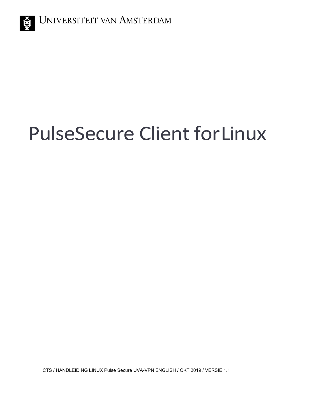# PulseSecure Client forLinux

ICTS / HANDLEIDING LINUX Pulse Secure UVA-VPN ENGLISH / OKT 2019 / VERSIE 1.1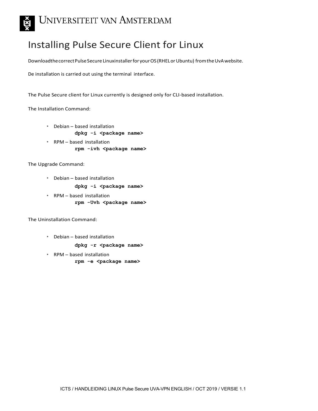

## Installing Pulse Secure Client for Linux

Downloadthe correct Pulse Secure Linuxinstaller for your OS (RHEL or Ubuntu) from the UvA website.

De installation is carried out using the terminal interface.

The Pulse Secure client for Linux currently is designed only for CLI-based installation.

The Installation Command:

- Debian based installation **dpkg -i <package name>**
- RPM based installation **rpm -ivh <package name>**

The Upgrade Command:

• Debian – based installation

dpkg -i <package name>

• RPM – based installation **rpm -Uvh <package name>**

The Uninstallation Command:

• Debian – based installation

**dpkg -r <package name>**

• RPM – based installation

**rpm -e <package name>**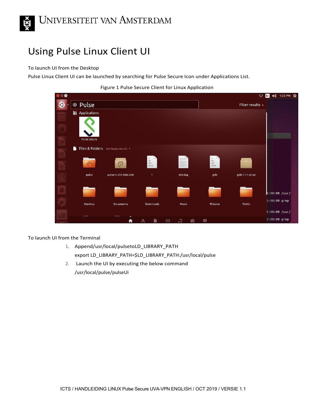

# Using Pulse Linux Client UI

#### To launch UI from the Desktop

Pulse Linux Client UI can be launched by searching for Pulse Secure Icon under Applications List.



| $\bullet$ |                         |                                     |                                                       |                           |                                                       | $\circ$          | En | 40) 1:23 PM 32  |
|-----------|-------------------------|-------------------------------------|-------------------------------------------------------|---------------------------|-------------------------------------------------------|------------------|----|-----------------|
|           | ⊗ Pulse                 |                                     |                                                       |                           |                                                       | Filter results » |    |                 |
|           | <b>iii</b> Applications |                                     |                                                       |                           |                                                       |                  |    |                 |
|           |                         |                                     |                                                       |                           |                                                       |                  |    |                 |
|           | <b>Pulse Secure</b>     |                                     |                                                       |                           |                                                       |                  |    |                 |
|           | n                       | Files & Folders See fewer results v |                                                       |                           |                                                       |                  |    |                 |
|           |                         | $\circ$                             | $\begin{array}{c} 1 \\ 10 \\ 101 \\ 1010 \end{array}$ |                           | $\begin{array}{c} 1 \\ 10 \\ 101 \end{array}$<br>1010 |                  |    |                 |
|           | pulse                   | pulse-5.3R1.i386.deb                | $\mathbf{1}$                                          | test.log                  | gdb                                                   | gdb-7.11.tar.xz  |    |                 |
|           |                         |                                     |                                                       |                           |                                                       |                  |    |                 |
|           |                         |                                     |                                                       |                           |                                                       |                  |    | $0:00:00$ /usr/ |
|           | Desktop                 | <b>Documents</b>                    | Downloads                                             | Music                     | Pictures                                              | Public           |    | 0:00:00 grep    |
|           |                         |                                     |                                                       |                           |                                                       |                  |    | $0:00:00$ /usr/ |
|           |                         | €                                   | Ą                                                     | J.<br>$\bullet$<br>$\Box$ | 量                                                     |                  |    | 0:00:00 grep    |

To launch UI from the Terminal

- 1. Append/usr/local/pulsetoLD\_LIBRARY\_PATH export LD\_LIBRARY\_PATH=\$LD\_LIBRARY\_PATH:/usr/local/pulse
- 2. Launch the UI by executing the below command /usr/local/pulse/pulseUi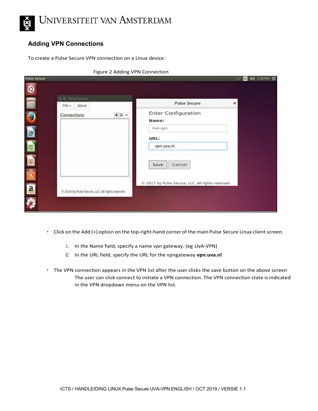

#### **Adding VPN Connections**

To create a Pulse Secure VPN connection on a Linux device:

|                     | Figure 2 Adding VPN Connection                    |                                                 |                                                    |
|---------------------|---------------------------------------------------|-------------------------------------------------|----------------------------------------------------|
| <b>Pulse Secure</b> |                                                   |                                                 | 2:05 PM 章<br>$\blacktriangleleft$<br><b>CON En</b> |
| $\bullet$           |                                                   |                                                 |                                                    |
|                     | Pulse Secure                                      |                                                 |                                                    |
|                     | About<br>File v.                                  | <b>Pulse Secure</b>                             | $\times$                                           |
| Đ                   | $+$ $6 -$<br>Connections                          | <b>Enter Configuration</b><br>Name:             |                                                    |
| E                   |                                                   | UvA vpn                                         |                                                    |
| E                   |                                                   | URL:<br>vpn.uva.nl                              |                                                    |
| Ę                   |                                                   |                                                 |                                                    |
|                     |                                                   | Cancel<br>Save                                  |                                                    |
| A                   |                                                   | 2017 by Pulse Secure, LLC. All rights reserved. |                                                    |
| $\mathbf{a}$        | C 2016 by Pulse Secure. LLC. All rights reserved. |                                                 |                                                    |
|                     |                                                   |                                                 |                                                    |

- Click on the Add (+) option on the top-right-hand corner of the main Pulse Secure Linux client screen.
	- 1. In the Name field, specify a name vpn gateway. (eg UvA-VPN)
	- **2.** In the URL field, specify the URL for the vpngateway **vpn.uva.nl**
- The VPN connection appears in the VPN list after the user clicks the save button on the above screen The user can click connect to initiate a VPN connection. The VPN connection state is indicated in the VPN dropdown menu on the VPN list.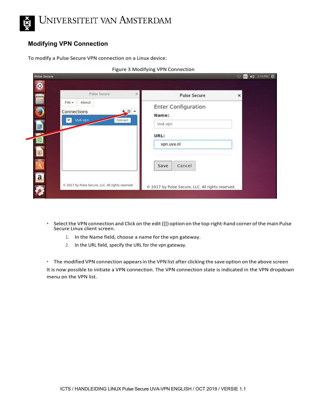

#### **Modifying VPN Connection**

To modify a Pulse Secure VPN connection on a Linux device:

| Pulse Secure                                     | $\times$<br><b>Pulse Secure</b><br>×             |
|--------------------------------------------------|--------------------------------------------------|
| $File -$<br>About<br>Connections<br>UvA vpn<br>v | <b>Enter Configuration</b><br>$+ \circ$<br>Name: |
|                                                  | Connect<br>UvA vpn                               |
|                                                  | URL:                                             |
| 顨                                                | vpn.uva.nl                                       |
|                                                  | Cancel<br>Save                                   |
| $\overline{a}$                                   |                                                  |

Figure 3 Modifying VPN Connection

- Selectthe VPN connection and Click on the edit([]) option on the top-right-hand corner of the main Pulse Secure Linux client screen.
	- 1. In the Name field, choose a name for the vpn gateway.
	- 2. In the URL field, specify the URL for the vpn gateway.

• The modified VPN connection appears in the VPN list after clicking the save option on the above screen It is now possible to initiate a VPN connection. The VPN connection state is indicated in the VPN dropdown menu on the VPN list.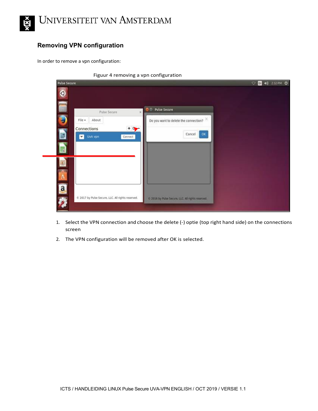

#### **Removing VPN configuration**

In order to remove a vpn configuration:

| <b>Pulse Secure</b>                                    |                                                   | ▽ 5 40 232PM ☆ |
|--------------------------------------------------------|---------------------------------------------------|----------------|
| $\bullet$                                              |                                                   |                |
| $\omega$<br>Pulse Secure                               | <b>Pulse Secure</b><br>DO<br>$\times$             |                |
| ۷<br>About<br>$File -$                                 | Do you want to delete the connection?             |                |
| Connections<br>þ                                       | $+$<br>Cancel<br>ok                               |                |
| UvA vpn<br>▿                                           | Connect                                           |                |
| ₽                                                      |                                                   |                |
| 國                                                      |                                                   |                |
|                                                        |                                                   |                |
|                                                        |                                                   |                |
| $\overline{a}$                                         |                                                   |                |
| C 2017 by Pulse Secure, LLC. All rights reserved.<br>Ź | C 2016 by Pulse Secure, LLC. All rights reserved. |                |
|                                                        |                                                   |                |

- 1. Select the VPN connection and choose the delete (-) optie (top right hand side) on the connections screen
- 2. The VPN configuration will be removed after OK is selected.

Figuur 4 removing a vpn configuration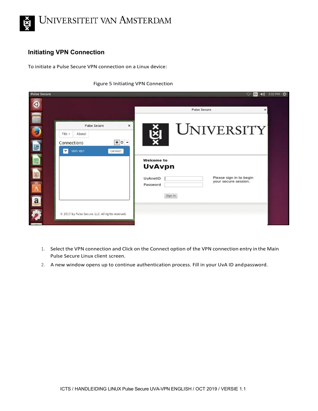

## **Initiating VPN Connection**

To initiate a Pulse Secure VPN connection on a Linux device:

#### Figure 5 Initiating VPN Connection

| <b>Pulse Secure</b> |                                                                                                                                  | 4 3:02 PM 卷<br>ິ<br>En-                                                                                                  |
|---------------------|----------------------------------------------------------------------------------------------------------------------------------|--------------------------------------------------------------------------------------------------------------------------|
|                     |                                                                                                                                  | <b>Pulse Secure</b><br>×                                                                                                 |
|                     | <b>Pulse Secure</b><br>$\times$<br>File $\star$<br>About<br>$+$ $\circ$ $-$<br>Connections<br>UvA vpn<br>$\checkmark$<br>Connect | <b>UNIVERSITY</b>                                                                                                        |
|                     |                                                                                                                                  | <b>Welcome to</b><br><b>UvAvpn</b><br>Please sign in to begin<br>UvAnetID<br>your secure session.<br>Password<br>Sign In |
|                     | © 2017 by Pulse Secure, LLC. All rights reserved.                                                                                |                                                                                                                          |

- 1. Select the VPN connection and Click on the Connect option of the VPN connection entry in the Main Pulse Secure Linux client screen.
- 2. A new window opens up to continue authentication process. Fill in your UvA ID andpassword.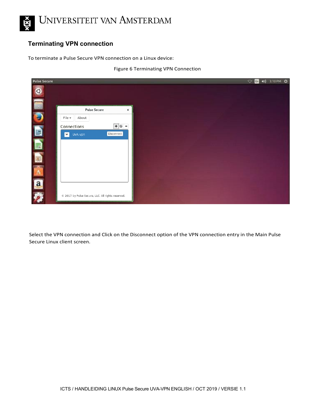

## **Terminating VPN connection**

To terminate a Pulse Secure VPN connection on a Linux device:





Select the VPN connection and Click on the Disconnect option of the VPN connection entry in the Main Pulse Secure Linux client screen.